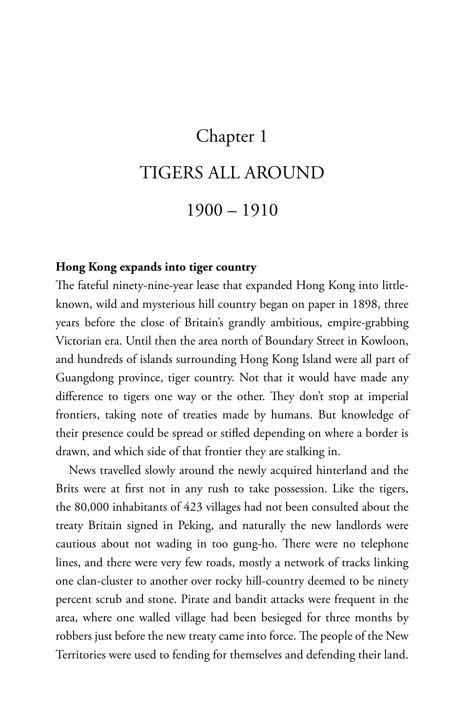# Chapter 1

# TIGERS ALL AROUND

# 1900 – 1910

## **Hong Kong expands into tiger country**

The fateful ninety-nine-year lease that expanded Hong Kong into littleknown, wild and mysterious hill country began on paper in 1898, three years before the close of Britain's grandly ambitious, empire-grabbing Victorian era. Until then the area north of Boundary Street in Kowloon, and hundreds of islands surrounding Hong Kong Island were all part of Guangdong province, tiger country. Not that it would have made any difference to tigers one way or the other. They don't stop at imperial frontiers, taking note of treaties made by humans. But knowledge of their presence could be spread or stifled depending on where a border is drawn, and which side of that frontier they are stalking in.

News travelled slowly around the newly acquired hinterland and the Brits were at first not in any rush to take possession. Like the tigers, the 80,000 inhabitants of 423 villages had not been consulted about the treaty Britain signed in Peking, and naturally the new landlords were cautious about not wading in too gung-ho. There were no telephone lines, and there were very few roads, mostly a network of tracks linking one clan-cluster to another over rocky hill-country deemed to be ninety percent scrub and stone. Pirate and bandit attacks were frequent in the area, where one walled village had been besieged for three months by robbers just before the new treaty came into force. The people of the New Territories were used to fending for themselves and defending their land.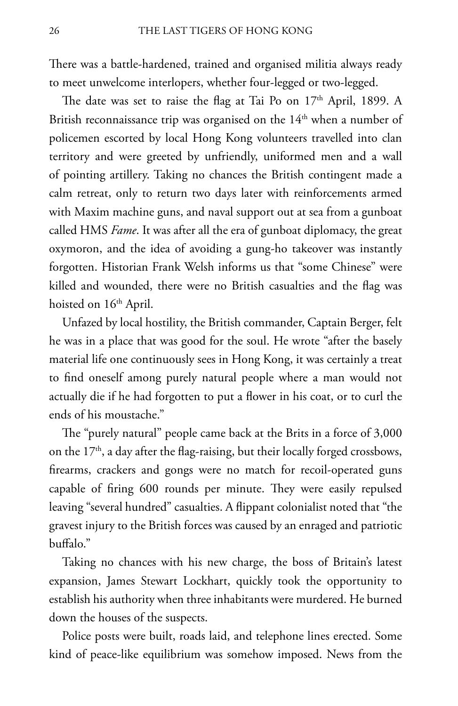There was a battle-hardened, trained and organised militia always ready to meet unwelcome interlopers, whether four-legged or two-legged.

The date was set to raise the flag at Tai Po on 17<sup>th</sup> April, 1899. A British reconnaissance trip was organised on the  $14<sup>th</sup>$  when a number of policemen escorted by local Hong Kong volunteers travelled into clan territory and were greeted by unfriendly, uniformed men and a wall of pointing artillery. Taking no chances the British contingent made a calm retreat, only to return two days later with reinforcements armed with Maxim machine guns, and naval support out at sea from a gunboat called HMS *Fame*. It was after all the era of gunboat diplomacy, the great oxymoron, and the idea of avoiding a gung-ho takeover was instantly forgotten. Historian frank Welsh informs us that "some Chinese" were killed and wounded, there were no British casualties and the flag was hoisted on 16<sup>th</sup> April.

Unfazed by local hostility, the British commander, Captain Berger, felt he was in a place that was good for the soul. He wrote "after the basely material life one continuously sees in Hong Kong, it was certainly a treat to find oneself among purely natural people where a man would not actually die if he had forgotten to put a flower in his coat, or to curl the ends of his moustache."

The "purely natural" people came back at the Brits in a force of 3,000 on the  $17<sup>th</sup>$ , a day after the flag-raising, but their locally forged crossbows, firearms, crackers and gongs were no match for recoil-operated guns capable of firing 600 rounds per minute. They were easily repulsed leaving "several hundred" casualties. A flippant colonialist noted that "the gravest injury to the British forces was caused by an enraged and patriotic buffalo."

Taking no chances with his new charge, the boss of Britain's latest expansion, James Stewart Lockhart, quickly took the opportunity to establish his authority when three inhabitants were murdered. He burned down the houses of the suspects.

Police posts were built, roads laid, and telephone lines erected. Some kind of peace-like equilibrium was somehow imposed. News from the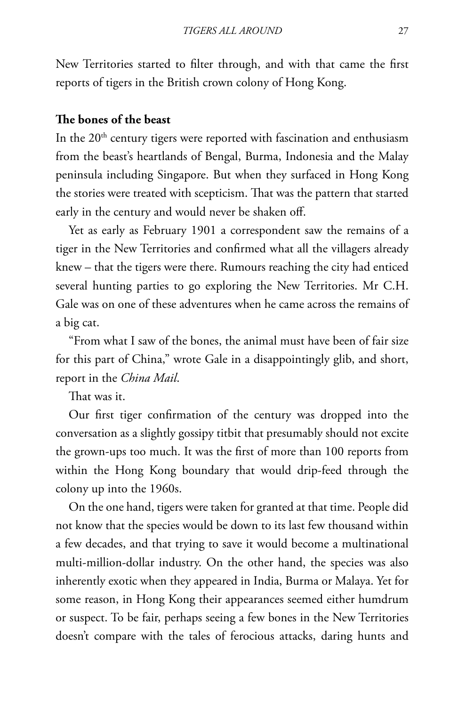New Territories started to filter through, and with that came the first reports of tigers in the British crown colony of Hong Kong.

### **The bones of the beast**

In the  $20<sup>th</sup>$  century tigers were reported with fascination and enthusiasm from the beast's heartlands of Bengal, Burma, Indonesia and the Malay peninsula including Singapore. But when they surfaced in Hong Kong the stories were treated with scepticism. That was the pattern that started early in the century and would never be shaken off.

Yet as early as february 1901 a correspondent saw the remains of a tiger in the New Territories and confirmed what all the villagers already knew – that the tigers were there. Rumours reaching the city had enticed several hunting parties to go exploring the New Territories. Mr C.H. Gale was on one of these adventures when he came across the remains of a big cat.

"from what I saw of the bones, the animal must have been of fair size for this part of China," wrote Gale in a disappointingly glib, and short, report in the *China Mail*.

That was it.

Our first tiger confirmation of the century was dropped into the conversation as a slightly gossipy titbit that presumably should not excite the grown-ups too much. It was the first of more than 100 reports from within the Hong Kong boundary that would drip-feed through the colony up into the 1960s.

On the one hand, tigers were taken for granted at that time. People did not know that the species would be down to its last few thousand within a few decades, and that trying to save it would become a multinational multi-million-dollar industry. On the other hand, the species was also inherently exotic when they appeared in India, Burma or Malaya. Yet for some reason, in Hong Kong their appearances seemed either humdrum or suspect. To be fair, perhaps seeing a few bones in the New Territories doesn't compare with the tales of ferocious attacks, daring hunts and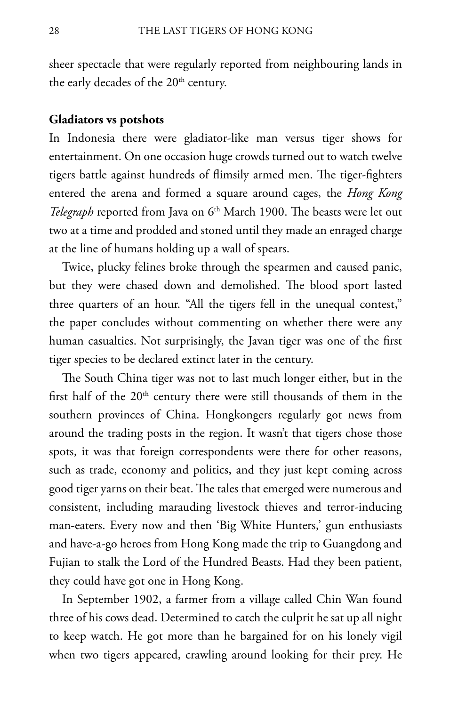sheer spectacle that were regularly reported from neighbouring lands in the early decades of the 20<sup>th</sup> century.

#### **Gladiators vs potshots**

In Indonesia there were gladiator-like man versus tiger shows for entertainment. On one occasion huge crowds turned out to watch twelve tigers battle against hundreds of flimsily armed men. The tiger-fighters entered the arena and formed a square around cages, the *Hong Kong Telegraph* reported from Java on 6<sup>th</sup> March 1900. The beasts were let out two at a time and prodded and stoned until they made an enraged charge at the line of humans holding up a wall of spears.

Twice, plucky felines broke through the spearmen and caused panic, but they were chased down and demolished. The blood sport lasted three quarters of an hour. "All the tigers fell in the unequal contest," the paper concludes without commenting on whether there were any human casualties. Not surprisingly, the Javan tiger was one of the first tiger species to be declared extinct later in the century.

The South China tiger was not to last much longer either, but in the first half of the  $20<sup>th</sup>$  century there were still thousands of them in the southern provinces of China. Hongkongers regularly got news from around the trading posts in the region. It wasn't that tigers chose those spots, it was that foreign correspondents were there for other reasons, such as trade, economy and politics, and they just kept coming across good tiger yarns on their beat. The tales that emerged were numerous and consistent, including marauding livestock thieves and terror-inducing man-eaters. Every now and then 'Big White Hunters,' gun enthusiasts and have-a-go heroes from Hong Kong made the trip to Guangdong and fujian to stalk the Lord of the Hundred Beasts. Had they been patient, they could have got one in Hong Kong.

In September 1902, a farmer from a village called Chin Wan found three of his cows dead. Determined to catch the culprit he sat up all night to keep watch. He got more than he bargained for on his lonely vigil when two tigers appeared, crawling around looking for their prey. He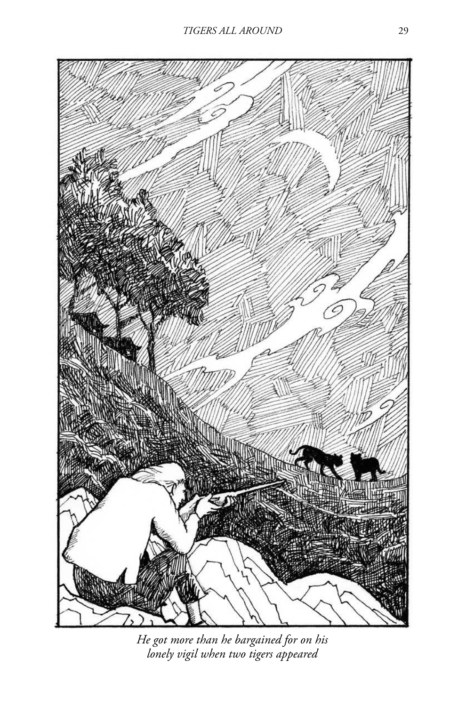

*He got more than he bargained for on his lonely vigil when two tigers appeared*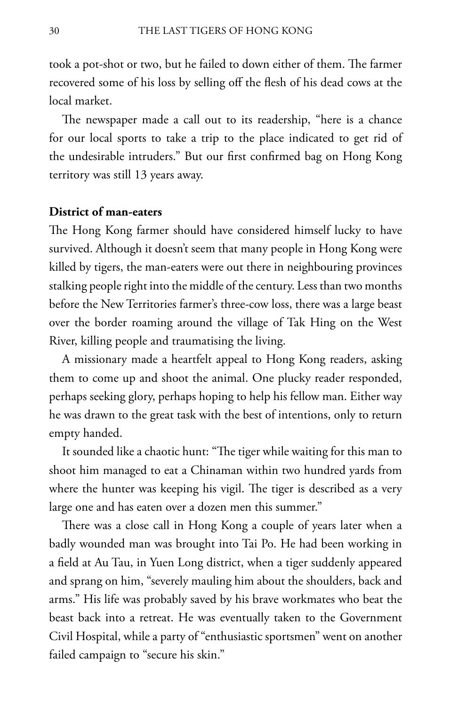took a pot-shot or two, but he failed to down either of them. The farmer recovered some of his loss by selling off the flesh of his dead cows at the local market.

The newspaper made a call out to its readership, "here is a chance for our local sports to take a trip to the place indicated to get rid of the undesirable intruders." But our first confirmed bag on Hong Kong territory was still 13 years away.

### **District of man-eaters**

The Hong Kong farmer should have considered himself lucky to have survived. Although it doesn't seem that many people in Hong Kong were killed by tigers, the man-eaters were out there in neighbouring provinces stalking people right into the middle of the century. Less than two months before the New Territories farmer's three-cow loss, there was a large beast over the border roaming around the village of Tak Hing on the West River, killing people and traumatising the living.

A missionary made a heartfelt appeal to Hong Kong readers, asking them to come up and shoot the animal. One plucky reader responded, perhaps seeking glory, perhaps hoping to help his fellow man. Either way he was drawn to the great task with the best of intentions, only to return empty handed.

It sounded like a chaotic hunt: "The tiger while waiting for this man to shoot him managed to eat a Chinaman within two hundred yards from where the hunter was keeping his vigil. The tiger is described as a very large one and has eaten over a dozen men this summer."

There was a close call in Hong Kong a couple of years later when a badly wounded man was brought into Tai Po. He had been working in a field at Au Tau, in Yuen Long district, when a tiger suddenly appeared and sprang on him, "severely mauling him about the shoulders, back and arms." His life was probably saved by his brave workmates who beat the beast back into a retreat. He was eventually taken to the Government Civil Hospital, while a party of "enthusiastic sportsmen" went on another failed campaign to "secure his skin."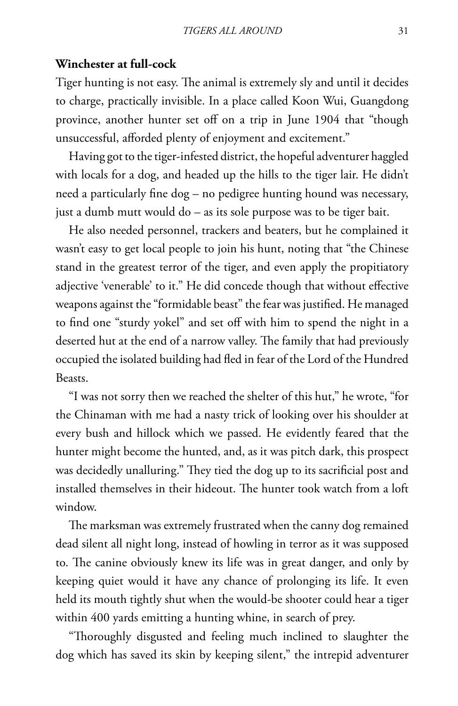### **Winchester at full-cock**

Tiger hunting is not easy. The animal is extremely sly and until it decides to charge, practically invisible. In a place called Koon Wui, Guangdong province, another hunter set off on a trip in June 1904 that "though unsuccessful, afforded plenty of enjoyment and excitement."

Having got to the tiger-infested district, the hopeful adventurer haggled with locals for a dog, and headed up the hills to the tiger lair. He didn't need a particularly fine dog – no pedigree hunting hound was necessary, just a dumb mutt would do – as its sole purpose was to be tiger bait.

He also needed personnel, trackers and beaters, but he complained it wasn't easy to get local people to join his hunt, noting that "the Chinese stand in the greatest terror of the tiger, and even apply the propitiatory adjective 'venerable' to it." He did concede though that without effective weapons against the "formidable beast" the fear was justified. He managed to find one "sturdy yokel" and set off with him to spend the night in a deserted hut at the end of a narrow valley. The family that had previously occupied the isolated building had fled in fear of the Lord of the Hundred Beasts.

"I was not sorry then we reached the shelter of this hut," he wrote, "for the Chinaman with me had a nasty trick of looking over his shoulder at every bush and hillock which we passed. He evidently feared that the hunter might become the hunted, and, as it was pitch dark, this prospect was decidedly unalluring." They tied the dog up to its sacrificial post and installed themselves in their hideout. The hunter took watch from a loft window.

The marksman was extremely frustrated when the canny dog remained dead silent all night long, instead of howling in terror as it was supposed to. The canine obviously knew its life was in great danger, and only by keeping quiet would it have any chance of prolonging its life. It even held its mouth tightly shut when the would-be shooter could hear a tiger within 400 yards emitting a hunting whine, in search of prey.

"Thoroughly disgusted and feeling much inclined to slaughter the dog which has saved its skin by keeping silent," the intrepid adventurer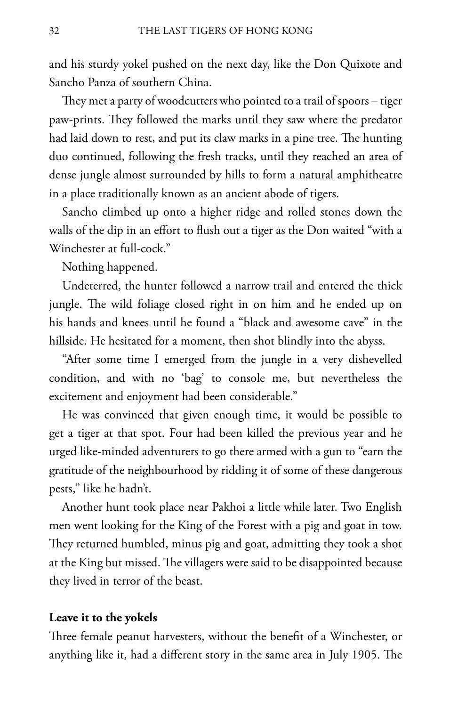and his sturdy yokel pushed on the next day, like the Don Quixote and Sancho Panza of southern China.

They met a party of woodcutters who pointed to a trail of spoors – tiger paw-prints. They followed the marks until they saw where the predator had laid down to rest, and put its claw marks in a pine tree. The hunting duo continued, following the fresh tracks, until they reached an area of dense jungle almost surrounded by hills to form a natural amphitheatre in a place traditionally known as an ancient abode of tigers.

Sancho climbed up onto a higher ridge and rolled stones down the walls of the dip in an effort to flush out a tiger as the Don waited "with a Winchester at full-cock."

Nothing happened.

Undeterred, the hunter followed a narrow trail and entered the thick jungle. The wild foliage closed right in on him and he ended up on his hands and knees until he found a "black and awesome cave" in the hillside. He hesitated for a moment, then shot blindly into the abyss.

"After some time I emerged from the jungle in a very dishevelled condition, and with no 'bag' to console me, but nevertheless the excitement and enjoyment had been considerable."

He was convinced that given enough time, it would be possible to get a tiger at that spot. four had been killed the previous year and he urged like-minded adventurers to go there armed with a gun to "earn the gratitude of the neighbourhood by ridding it of some of these dangerous pests," like he hadn't.

Another hunt took place near Pakhoi a little while later. Two English men went looking for the King of the forest with a pig and goat in tow. They returned humbled, minus pig and goat, admitting they took a shot at the King but missed. The villagers were said to be disappointed because they lived in terror of the beast.

#### **Leave it to the yokels**

Three female peanut harvesters, without the benefit of a Winchester, or anything like it, had a different story in the same area in July 1905. The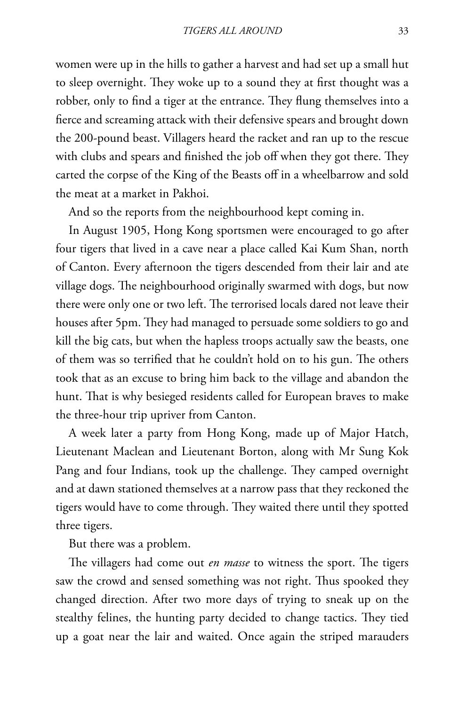women were up in the hills to gather a harvest and had set up a small hut to sleep overnight. They woke up to a sound they at first thought was a robber, only to find a tiger at the entrance. They flung themselves into a fierce and screaming attack with their defensive spears and brought down the 200-pound beast. Villagers heard the racket and ran up to the rescue with clubs and spears and finished the job off when they got there. They carted the corpse of the King of the Beasts off in a wheelbarrow and sold the meat at a market in Pakhoi.

And so the reports from the neighbourhood kept coming in.

In August 1905, Hong Kong sportsmen were encouraged to go after four tigers that lived in a cave near a place called Kai Kum Shan, north of Canton. Every afternoon the tigers descended from their lair and ate village dogs. The neighbourhood originally swarmed with dogs, but now there were only one or two left. The terrorised locals dared not leave their houses after 5pm. They had managed to persuade some soldiers to go and kill the big cats, but when the hapless troops actually saw the beasts, one of them was so terrified that he couldn't hold on to his gun. The others took that as an excuse to bring him back to the village and abandon the hunt. That is why besieged residents called for European braves to make the three-hour trip upriver from Canton.

A week later a party from Hong Kong, made up of Major Hatch, Lieutenant Maclean and Lieutenant Borton, along with Mr Sung Kok Pang and four Indians, took up the challenge. They camped overnight and at dawn stationed themselves at a narrow pass that they reckoned the tigers would have to come through. They waited there until they spotted three tigers.

But there was a problem.

The villagers had come out *en masse* to witness the sport. The tigers saw the crowd and sensed something was not right. Thus spooked they changed direction. After two more days of trying to sneak up on the stealthy felines, the hunting party decided to change tactics. They tied up a goat near the lair and waited. Once again the striped marauders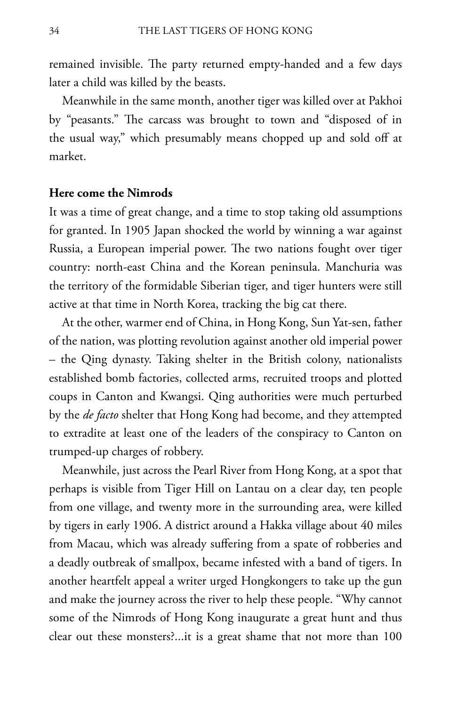remained invisible. The party returned empty-handed and a few days later a child was killed by the beasts.

Meanwhile in the same month, another tiger was killed over at Pakhoi by "peasants." The carcass was brought to town and "disposed of in the usual way," which presumably means chopped up and sold off at market.

### **Here come the Nimrods**

It was a time of great change, and a time to stop taking old assumptions for granted. In 1905 Japan shocked the world by winning a war against Russia, a European imperial power. The two nations fought over tiger country: north-east China and the Korean peninsula. Manchuria was the territory of the formidable Siberian tiger, and tiger hunters were still active at that time in North Korea, tracking the big cat there.

At the other, warmer end of China, in Hong Kong, Sun Yat-sen, father of the nation, was plotting revolution against another old imperial power – the Qing dynasty. Taking shelter in the British colony, nationalists established bomb factories, collected arms, recruited troops and plotted coups in Canton and Kwangsi. Qing authorities were much perturbed by the *de facto* shelter that Hong Kong had become, and they attempted to extradite at least one of the leaders of the conspiracy to Canton on trumped-up charges of robbery.

Meanwhile, just across the Pearl River from Hong Kong, at a spot that perhaps is visible from Tiger Hill on Lantau on a clear day, ten people from one village, and twenty more in the surrounding area, were killed by tigers in early 1906. A district around a Hakka village about 40 miles from Macau, which was already suffering from a spate of robberies and a deadly outbreak of smallpox, became infested with a band of tigers. In another heartfelt appeal a writer urged Hongkongers to take up the gun and make the journey across the river to help these people. "Why cannot some of the Nimrods of Hong Kong inaugurate a great hunt and thus clear out these monsters?...it is a great shame that not more than 100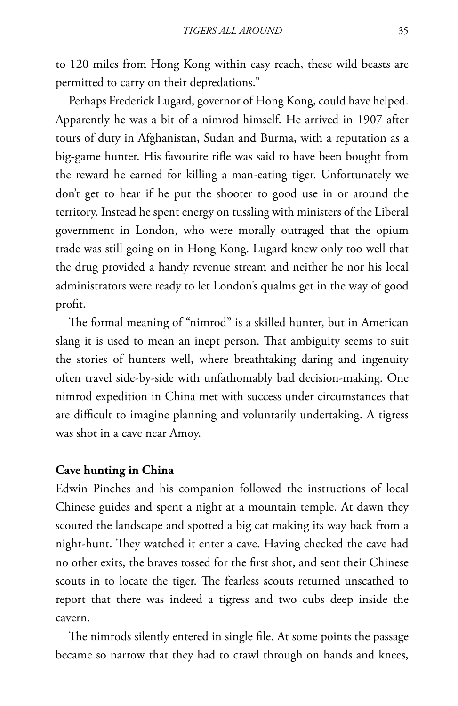to 120 miles from Hong Kong within easy reach, these wild beasts are permitted to carry on their depredations."

Perhaps frederick Lugard, governor of Hong Kong, could have helped. Apparently he was a bit of a nimrod himself. He arrived in 1907 after tours of duty in Afghanistan, Sudan and Burma, with a reputation as a big-game hunter. His favourite rifle was said to have been bought from the reward he earned for killing a man-eating tiger. Unfortunately we don't get to hear if he put the shooter to good use in or around the territory. Instead he spent energy on tussling with ministers of the Liberal government in London, who were morally outraged that the opium trade was still going on in Hong Kong. Lugard knew only too well that the drug provided a handy revenue stream and neither he nor his local administrators were ready to let London's qualms get in the way of good profit.

The formal meaning of "nimrod" is a skilled hunter, but in American slang it is used to mean an inept person. That ambiguity seems to suit the stories of hunters well, where breathtaking daring and ingenuity often travel side-by-side with unfathomably bad decision-making. One nimrod expedition in China met with success under circumstances that are difficult to imagine planning and voluntarily undertaking. A tigress was shot in a cave near Amoy.

#### **Cave hunting in China**

Edwin Pinches and his companion followed the instructions of local Chinese guides and spent a night at a mountain temple. At dawn they scoured the landscape and spotted a big cat making its way back from a night-hunt. They watched it enter a cave. Having checked the cave had no other exits, the braves tossed for the first shot, and sent their Chinese scouts in to locate the tiger. The fearless scouts returned unscathed to report that there was indeed a tigress and two cubs deep inside the cavern.

The nimrods silently entered in single file. At some points the passage became so narrow that they had to crawl through on hands and knees,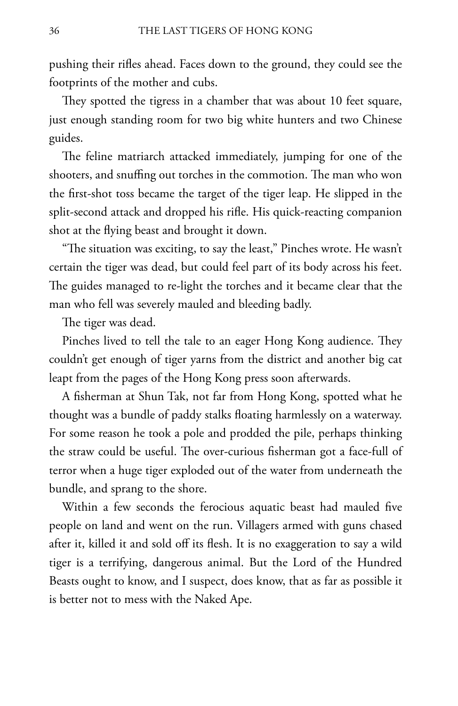pushing their rifles ahead. faces down to the ground, they could see the footprints of the mother and cubs.

They spotted the tigress in a chamber that was about 10 feet square, just enough standing room for two big white hunters and two Chinese guides.

The feline matriarch attacked immediately, jumping for one of the shooters, and snuffing out torches in the commotion. The man who won the first-shot toss became the target of the tiger leap. He slipped in the split-second attack and dropped his rifle. His quick-reacting companion shot at the flying beast and brought it down.

"The situation was exciting, to say the least," Pinches wrote. He wasn't certain the tiger was dead, but could feel part of its body across his feet. The guides managed to re-light the torches and it became clear that the man who fell was severely mauled and bleeding badly.

The tiger was dead.

Pinches lived to tell the tale to an eager Hong Kong audience. They couldn't get enough of tiger yarns from the district and another big cat leapt from the pages of the Hong Kong press soon afterwards.

A fisherman at Shun Tak, not far from Hong Kong, spotted what he thought was a bundle of paddy stalks floating harmlessly on a waterway. for some reason he took a pole and prodded the pile, perhaps thinking the straw could be useful. The over-curious fisherman got a face-full of terror when a huge tiger exploded out of the water from underneath the bundle, and sprang to the shore.

Within a few seconds the ferocious aquatic beast had mauled five people on land and went on the run. Villagers armed with guns chased after it, killed it and sold off its flesh. It is no exaggeration to say a wild tiger is a terrifying, dangerous animal. But the Lord of the Hundred Beasts ought to know, and I suspect, does know, that as far as possible it is better not to mess with the Naked Ape.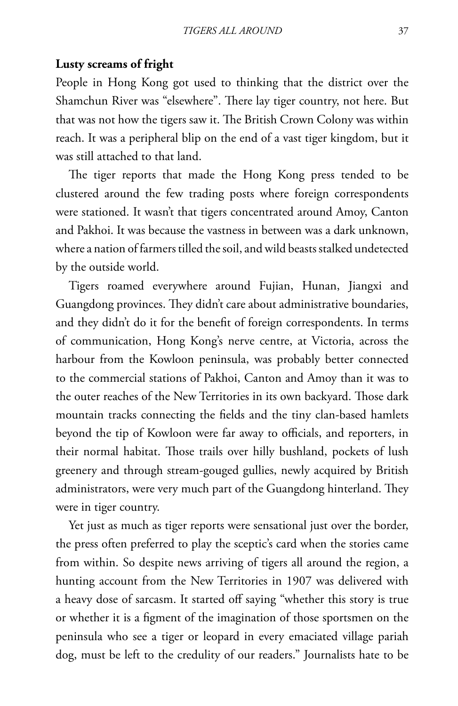#### **Lusty screams of fright**

People in Hong Kong got used to thinking that the district over the Shamchun River was "elsewhere". There lay tiger country, not here. But that was not how the tigers saw it. The British Crown Colony was within reach. It was a peripheral blip on the end of a vast tiger kingdom, but it was still attached to that land.

The tiger reports that made the Hong Kong press tended to be clustered around the few trading posts where foreign correspondents were stationed. It wasn't that tigers concentrated around Amoy, Canton and Pakhoi. It was because the vastness in between was a dark unknown, where a nation of farmers tilled the soil, and wild beasts stalked undetected by the outside world.

Tigers roamed everywhere around fujian, Hunan, Jiangxi and Guangdong provinces. They didn't care about administrative boundaries, and they didn't do it for the benefit of foreign correspondents. In terms of communication, Hong Kong's nerve centre, at Victoria, across the harbour from the Kowloon peninsula, was probably better connected to the commercial stations of Pakhoi, Canton and Amoy than it was to the outer reaches of the New Territories in its own backyard. Those dark mountain tracks connecting the fields and the tiny clan-based hamlets beyond the tip of Kowloon were far away to officials, and reporters, in their normal habitat. Those trails over hilly bushland, pockets of lush greenery and through stream-gouged gullies, newly acquired by British administrators, were very much part of the Guangdong hinterland. They were in tiger country.

Yet just as much as tiger reports were sensational just over the border, the press often preferred to play the sceptic's card when the stories came from within. So despite news arriving of tigers all around the region, a hunting account from the New Territories in 1907 was delivered with a heavy dose of sarcasm. It started off saying "whether this story is true or whether it is a figment of the imagination of those sportsmen on the peninsula who see a tiger or leopard in every emaciated village pariah dog, must be left to the credulity of our readers." Journalists hate to be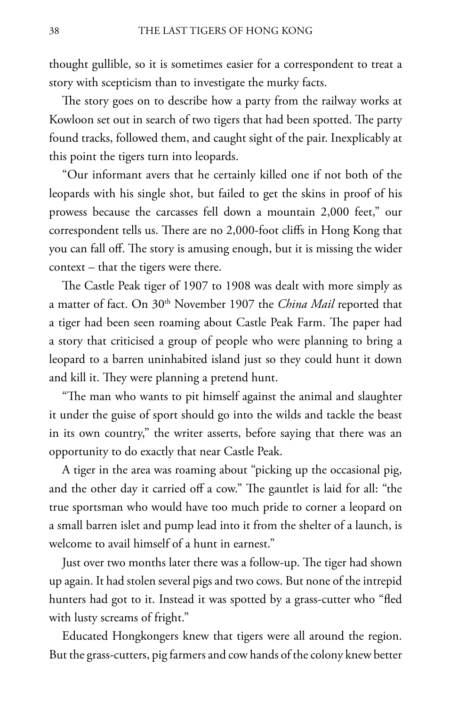thought gullible, so it is sometimes easier for a correspondent to treat a story with scepticism than to investigate the murky facts.

The story goes on to describe how a party from the railway works at Kowloon set out in search of two tigers that had been spotted. The party found tracks, followed them, and caught sight of the pair. Inexplicably at this point the tigers turn into leopards.

"Our informant avers that he certainly killed one if not both of the leopards with his single shot, but failed to get the skins in proof of his prowess because the carcasses fell down a mountain 2,000 feet," our correspondent tells us. There are no 2,000-foot cliffs in Hong Kong that you can fall off. The story is amusing enough, but it is missing the wider context – that the tigers were there.

The Castle Peak tiger of 1907 to 1908 was dealt with more simply as a matter of fact. On 30<sup>th</sup> November 1907 the *China Mail* reported that a tiger had been seen roaming about Castle Peak farm. The paper had a story that criticised a group of people who were planning to bring a leopard to a barren uninhabited island just so they could hunt it down and kill it. They were planning a pretend hunt.

"The man who wants to pit himself against the animal and slaughter it under the guise of sport should go into the wilds and tackle the beast in its own country," the writer asserts, before saying that there was an opportunity to do exactly that near Castle Peak.

A tiger in the area was roaming about "picking up the occasional pig, and the other day it carried off a cow." The gauntlet is laid for all: "the true sportsman who would have too much pride to corner a leopard on a small barren islet and pump lead into it from the shelter of a launch, is welcome to avail himself of a hunt in earnest."

Just over two months later there was a follow-up. The tiger had shown up again. It had stolen several pigs and two cows. But none of the intrepid hunters had got to it. Instead it was spotted by a grass-cutter who "fled with lusty screams of fright."

Educated Hongkongers knew that tigers were all around the region. But the grass-cutters, pig farmers and cow hands of the colony knew better